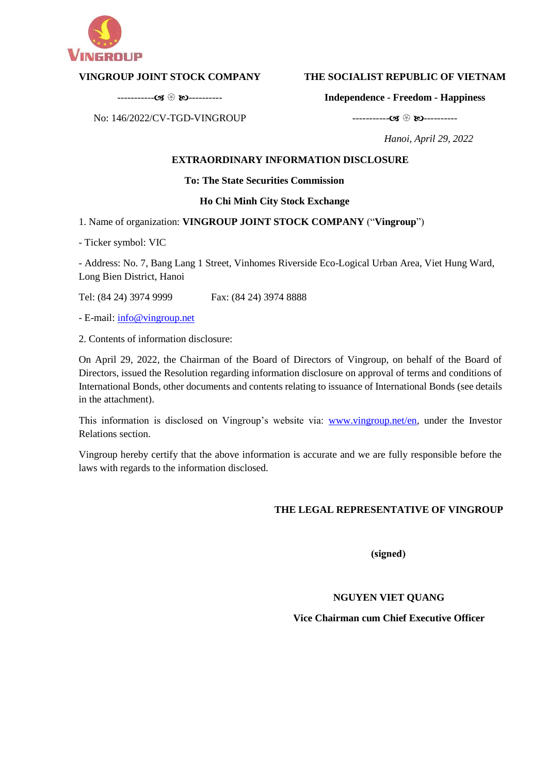

## **VINGROUP JOINT STOCK COMPANY**

**THE SOCIALIST REPUBLIC OF VIETNAM**

----------- ----------

No: 146/2022/CV-TGD-VINGROUP

### **Independence - Freedom - Happiness**

----------- ----------

 *Hanoi, April 29, 2022*

# **EXTRAORDINARY INFORMATION DISCLOSURE**

## **To: The State Securities Commission**

## **Ho Chi Minh City Stock Exchange**

1. Name of organization: **VINGROUP JOINT STOCK COMPANY** ("**Vingroup**")

- Ticker symbol: VIC

- Address: No. 7, Bang Lang 1 Street, Vinhomes Riverside Eco-Logical Urban Area, Viet Hung Ward, Long Bien District, Hanoi

Tel: (84 24) 3974 9999 Fax: (84 24) 3974 8888

- E-mail: [info@vingroup.net](mailto:info@vingroup.net)

2. Contents of information disclosure:

On April 29, 2022, the Chairman of the Board of Directors of Vingroup, on behalf of the Board of Directors, issued the Resolution regarding information disclosure on approval of terms and conditions of International Bonds, other documents and contents relating to issuance of International Bonds (see details in the attachment).

This information is disclosed on Vingroup's website via: [www.vingroup.net/en](https://www.vingroup.net/en)*,* under the Investor Relations section.

Vingroup hereby certify that the above information is accurate and we are fully responsible before the laws with regards to the information disclosed.

# **THE LEGAL REPRESENTATIVE OF VINGROUP**

(signed)

# **NGUYEN VIET QUANG**

# **Vice Chairman cum Chief Executive Officer**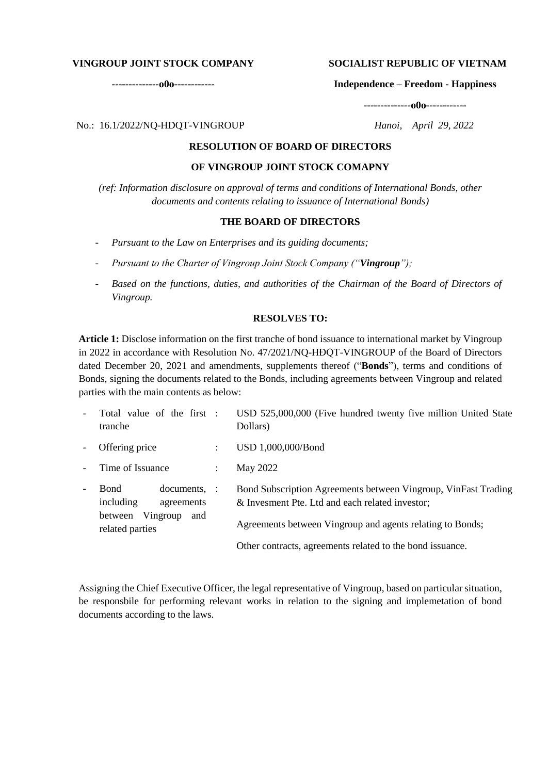## **VINGROUP JOINT STOCK COMPANY**

**--------------o0o------------**

## **SOCIALIST REPUBLIC OF VIETNAM**

#### **Independence – Freedom - Happiness**

**--------------o0o------------**

No.: 16.1/2022/NQ-HDQT-VINGROUP *Hanoi, April 29, 2022*

## **RESOLUTION OF BOARD OF DIRECTORS**

# **OF VINGROUP JOINT STOCK COMAPNY**

*(ref: Information disclosure on approval of terms and conditions of International Bonds, other documents and contents relating to issuance of International Bonds)*

### **THE BOARD OF DIRECTORS**

- *Pursuant to the Law on Enterprises and its guiding documents;*
- *Pursuant to the Charter of Vingroup Joint Stock Company ("Vingroup");*
- *Based on the functions, duties, and authorities of the Chairman of the Board of Directors of Vingroup.*

## **RESOLVES TO:**

**Article 1:** Disclose information on the first tranche of bond issuance to international market by Vingroup in 2022 in accordance with Resolution No. 47/2021/NQ-HĐQT-VINGROUP of the Board of Directors dated December 20, 2021 and amendments, supplements thereof ("**Bonds**"), terms and conditions of Bonds, signing the documents related to the Bonds, including agreements between Vingroup and related parties with the main contents as below:

|                          | Total value of the first :<br>tranche                                                                |                      | USD 525,000,000 (Five hundred twenty five million United State<br>Dollars)                                                                                                     |
|--------------------------|------------------------------------------------------------------------------------------------------|----------------------|--------------------------------------------------------------------------------------------------------------------------------------------------------------------------------|
| $\overline{\phantom{a}}$ | Offering price                                                                                       | $\ddot{\phantom{a}}$ | USD 1,000,000/Bond                                                                                                                                                             |
|                          | Time of Issuance                                                                                     | $\ddot{\phantom{a}}$ | May 2022                                                                                                                                                                       |
| $\overline{\phantom{a}}$ | <b>Bond</b><br>documents. :<br>including<br>agreements<br>between Vingroup<br>and<br>related parties |                      | Bond Subscription Agreements between Vingroup, VinFast Trading<br>& Invesment Pte. Ltd and each related investor;<br>Agreements between Vingroup and agents relating to Bonds; |
|                          |                                                                                                      |                      | Other contracts, agreements related to the bond issuance.                                                                                                                      |

Assigning the Chief Executive Officer, the legal representative of Vingroup, based on particular situation, be responsbile for performing relevant works in relation to the signing and implemetation of bond documents according to the laws.